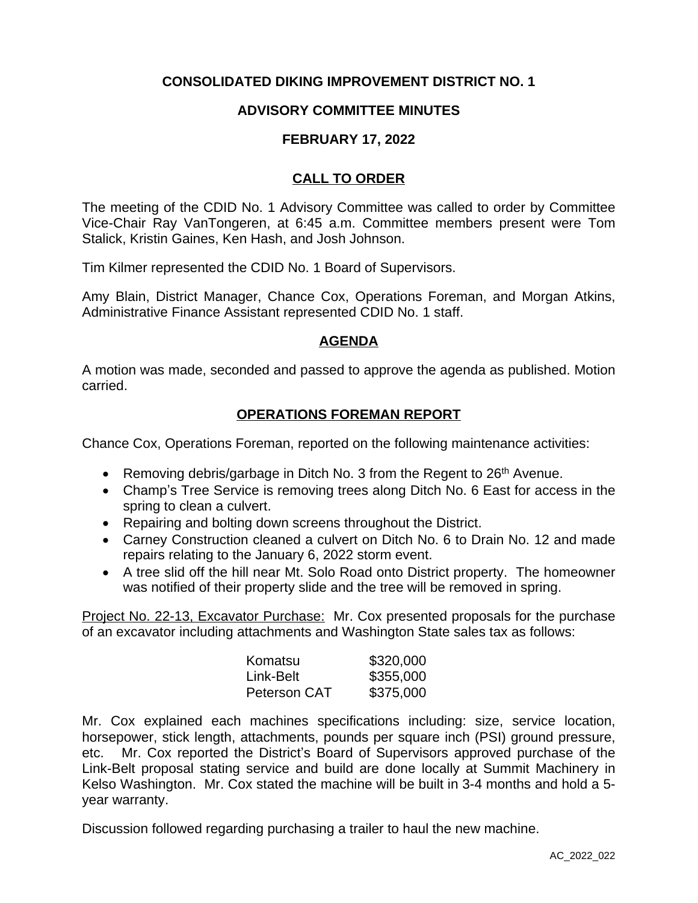# **CONSOLIDATED DIKING IMPROVEMENT DISTRICT NO. 1**

## **ADVISORY COMMITTEE MINUTES**

#### **FEBRUARY 17, 2022**

## **CALL TO ORDER**

The meeting of the CDID No. 1 Advisory Committee was called to order by Committee Vice-Chair Ray VanTongeren, at 6:45 a.m. Committee members present were Tom Stalick, Kristin Gaines, Ken Hash, and Josh Johnson.

Tim Kilmer represented the CDID No. 1 Board of Supervisors.

Amy Blain, District Manager, Chance Cox, Operations Foreman, and Morgan Atkins, Administrative Finance Assistant represented CDID No. 1 staff.

### **AGENDA**

A motion was made, seconded and passed to approve the agenda as published. Motion carried.

### **OPERATIONS FOREMAN REPORT**

Chance Cox, Operations Foreman, reported on the following maintenance activities:

- **•** Removing debris/garbage in Ditch No. 3 from the Regent to  $26<sup>th</sup>$  Avenue.
- Champ's Tree Service is removing trees along Ditch No. 6 East for access in the spring to clean a culvert.
- Repairing and bolting down screens throughout the District.
- Carney Construction cleaned a culvert on Ditch No. 6 to Drain No. 12 and made repairs relating to the January 6, 2022 storm event.
- A tree slid off the hill near Mt. Solo Road onto District property. The homeowner was notified of their property slide and the tree will be removed in spring.

Project No. 22-13, Excavator Purchase: Mr. Cox presented proposals for the purchase of an excavator including attachments and Washington State sales tax as follows:

| Komatsu      | \$320,000 |
|--------------|-----------|
| Link-Belt    | \$355,000 |
| Peterson CAT | \$375,000 |

Mr. Cox explained each machines specifications including: size, service location, horsepower, stick length, attachments, pounds per square inch (PSI) ground pressure, etc. Mr. Cox reported the District's Board of Supervisors approved purchase of the Link-Belt proposal stating service and build are done locally at Summit Machinery in Kelso Washington. Mr. Cox stated the machine will be built in 3-4 months and hold a 5 year warranty.

Discussion followed regarding purchasing a trailer to haul the new machine.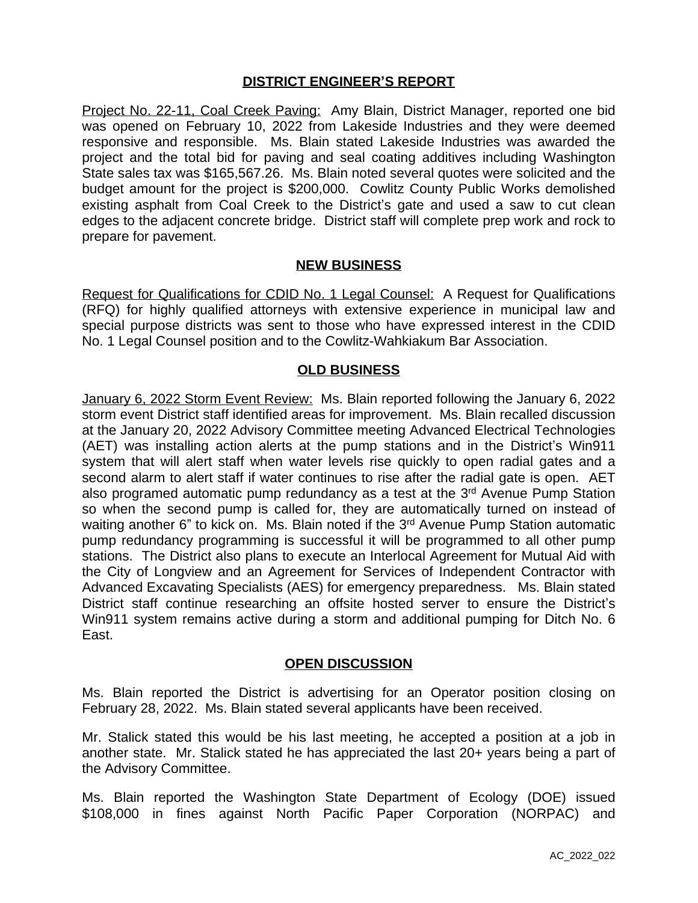### **DISTRICT ENGINEER'S REPORT**

Project No. 22-11, Coal Creek Paving: Amy Blain, District Manager, reported one bid was opened on February 10, 2022 from Lakeside Industries and they were deemed responsive and responsible. Ms. Blain stated Lakeside Industries was awarded the project and the total bid for paving and seal coating additives including Washington State sales tax was \$165,567.26. Ms. Blain noted several quotes were solicited and the budget amount for the project is \$200,000. Cowlitz County Public Works demolished existing asphalt from Coal Creek to the District's gate and used a saw to cut clean edges to the adjacent concrete bridge. District staff will complete prep work and rock to prepare for pavement.

#### **NEW BUSINESS**

Request for Qualifications for CDID No. 1 Legal Counsel: A Request for Qualifications (RFQ) for highly qualified attorneys with extensive experience in municipal law and special purpose districts was sent to those who have expressed interest in the CDID No. 1 Legal Counsel position and to the Cowlitz-Wahkiakum Bar Association.

### **OLD BUSINESS**

January 6, 2022 Storm Event Review: Ms. Blain reported following the January 6, 2022 storm event District staff identified areas for improvement. Ms. Blain recalled discussion at the January 20, 2022 Advisory Committee meeting Advanced Electrical Technologies (AET) was installing action alerts at the pump stations and in the District's Win911 system that will alert staff when water levels rise quickly to open radial gates and a second alarm to alert staff if water continues to rise after the radial gate is open. AET also programed automatic pump redundancy as a test at the 3<sup>rd</sup> Avenue Pump Station so when the second pump is called for, they are automatically turned on instead of waiting another 6" to kick on. Ms. Blain noted if the 3<sup>rd</sup> Avenue Pump Station automatic pump redundancy programming is successful it will be programmed to all other pump stations. The District also plans to execute an Interlocal Agreement for Mutual Aid with the City of Longview and an Agreement for Services of Independent Contractor with Advanced Excavating Specialists (AES) for emergency preparedness. Ms. Blain stated District staff continue researching an offsite hosted server to ensure the District's Win911 system remains active during a storm and additional pumping for Ditch No. 6 East.

#### **OPEN DISCUSSION**

Ms. Blain reported the District is advertising for an Operator position closing on February 28, 2022. Ms. Blain stated several applicants have been received.

Mr. Stalick stated this would be his last meeting, he accepted a position at a job in another state. Mr. Stalick stated he has appreciated the last 20+ years being a part of the Advisory Committee.

Ms. Blain reported the Washington State Department of Ecology (DOE) issued \$108,000 in fines against North Pacific Paper Corporation (NORPAC) and